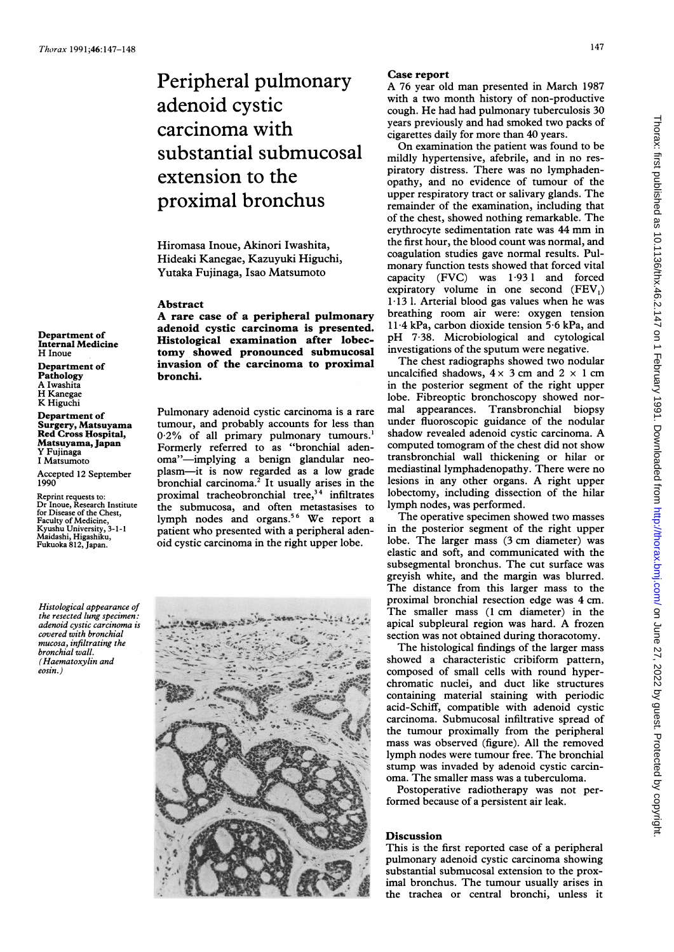Department of Internal Medicine

H Inoue Department of Pathology A Iwashita H Kanegae K Higuchi Department of Surgery, Matsuyama Red Cross Hospital, Matsuyama, Japan Y Fujinaga <sup>I</sup> Matsumoto

1990

Peripheral pulmonary adenoid cystic carcinoma with substantial submucosal extension to the proximal bronchus

Hiromasa Inoue, Akinori Iwashita, Hideaki Kanegae, Kazuyuki Higuchi, Yutaka Fujinaga, Isao Matsumoto

## Abstract

A rare case of <sup>a</sup> peripheral pulmonary adenoid cystic carcinoma is presented. Histological examination after lobectomy showed pronounced submucosal invasion of the carcinoma to proximal bronchi.

Pulmonary adenoid cystic carcinoma is a rare tumour, and probably accounts for less than <sup>0</sup> 2% of all primary pulmonary tumours.' Formerly referred to as "bronchial adenoma"-implying a benign glandular neoplasm-it is now regarded as a low grade bronchial carcinoma.<sup>2</sup> It usually arises in the proximal tracheobronchial tree,<sup>34</sup> infiltrates the submucosa, and often metastasises to lymph nodes and organs.<sup>56</sup> We report a patient who presented with a peripheral adenoid cystic carcinoma in the right upper lobe.

Histological appearance of the resected lung specimen: adenoid cystic carcinoma is covered with bronchial mucosa, infiltrating the bronchial wall. (Haematoxylin and eosin.)

Accepted 12 September

Reprint requests to: Dr Inoue, Research Institute

for Disease of the Chest, Faculty of Medicine, Kyushu University, 3-1-1 Maidashi, Higashiku, Fukuoka 812, Japan.



## Case report

A <sup>76</sup> year old man presented in March <sup>1987</sup> with a two month history of non-productive cough. He had had pulmonary tuberculosis 30 years previously and had smoked two packs of cigarettes daily for more than 40 years.

On examination the patient was found to be mildly hypertensive, afebrile, and in no respiratory distress. There was no lymphadenopathy, and no evidence of tumour of the upper respiratory tract or salivary glands. The remainder of the examination, including that of the chest, showed nothing remarkable. The erythrocyte sedimentation rate was <sup>44</sup> mm in the first hour, the blood count was normal, and coagulation studies gave normal results. Pulmonary function tests showed that forced vital capacity (FVC) was 1.931 and forced expiratory volume in one second  $(FEV<sub>1</sub>)$ 1-13 1. Arterial blood gas values when he was breathing room air were: oxygen tension 11-4 kPa, carbon dioxide tension 5-6 kPa, and pH 7-38. Microbiological and cytological investigations of the sputum were negative.

The chest radiographs showed two nodular uncalcified shadows,  $4 \times 3$  cm and  $2 \times 1$  cm in the posterior segment of the right upper lobe. Fibreoptic bronchoscopy showed normal appearances. Transbronchial biopsy under fluoroscopic guidance of the nodular shadow revealed adenoid cystic carcinoma. A computed tomogram of the chest did not show transbronchial wall thickening or hilar or mediastinal lymphadenopathy. There were no lesions in any other organs. A right upper lobectomy, including dissection of the hilar lymph nodes, was performed.

The operative specimen showed two masses in the posterior segment of the right upper lobe. The larger mass (3 cm diameter) was elastic and soft, and communicated with the subsegmental bronchus. The cut surface was greyish white, and the margin was blurred. The distance from this larger mass to the proximal bronchial resection edge was 4 cm. The smaller mass (1 cm diameter) in the apical subpleural region was hard. A frozen section was not obtained during thoracotomy.

The histological findings of the larger mass showed a characteristic cribiform pattern, composed of small cells with round hyperchromatic nuclei, and duct like structures containing material staining with periodic acid-Schiff, compatible with adenoid cystic carcinoma. Submucosal infiltrative spread of the tumour proximally from the peripheral mass was observed (figure). All the removed lymph nodes were tumour free. The bronchial stump was invaded by adenoid cystic carcinoma. The smaller mass was a tuberculoma.

Postoperative radiotherapy was not performed because of a persistent air leak.

## **Discussion**

This is the first reported case of a peripheral pulmonary adenoid cystic carcinoma showing substantial submucosal extension to the proximal bronchus. The tumour usually arises in the trachea or central bronchi, unless it